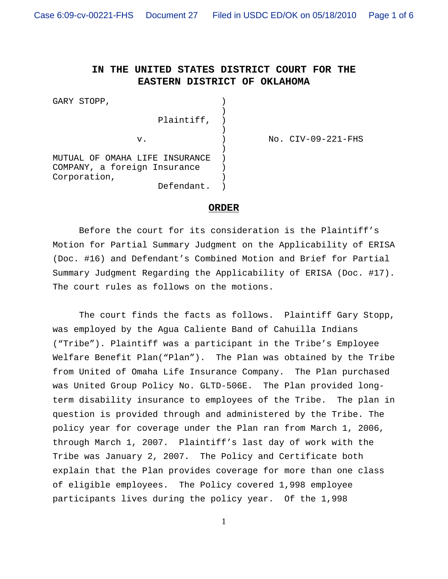$No.$   $CIV-09-221-FHS$ 

## **IN THE UNITED STATES DISTRICT COURT FOR THE EASTERN DISTRICT OF OKLAHOMA**

| GARY STOPP,                    |  |
|--------------------------------|--|
| Plaintiff,                     |  |
|                                |  |
| v.                             |  |
|                                |  |
| MUTUAL OF OMAHA LIFE INSURANCE |  |
| COMPANY, a foreign Insurance   |  |
| Corporation,                   |  |
| Defendant.                     |  |

## **ORDER**

Before the court for its consideration is the Plaintiff's Motion for Partial Summary Judgment on the Applicability of ERISA (Doc. #16) and Defendant's Combined Motion and Brief for Partial Summary Judgment Regarding the Applicability of ERISA (Doc. #17). The court rules as follows on the motions.

The court finds the facts as follows. Plaintiff Gary Stopp, was employed by the Agua Caliente Band of Cahuilla Indians ("Tribe"). Plaintiff was a participant in the Tribe's Employee Welfare Benefit Plan("Plan"). The Plan was obtained by the Tribe from United of Omaha Life Insurance Company. The Plan purchased was United Group Policy No. GLTD-506E. The Plan provided longterm disability insurance to employees of the Tribe. The plan in question is provided through and administered by the Tribe. The policy year for coverage under the Plan ran from March 1, 2006, through March 1, 2007. Plaintiff's last day of work with the Tribe was January 2, 2007. The Policy and Certificate both explain that the Plan provides coverage for more than one class of eligible employees. The Policy covered 1,998 employee participants lives during the policy year. Of the 1,998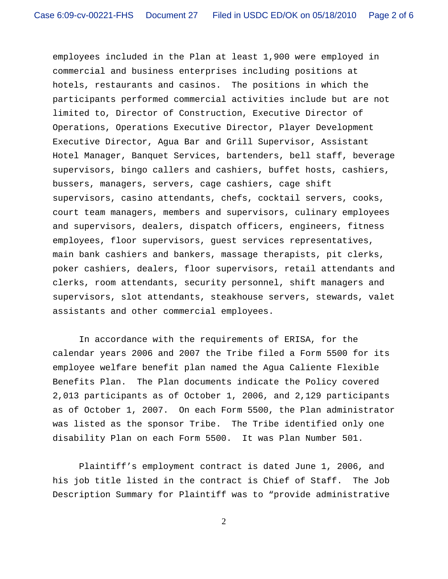employees included in the Plan at least 1,900 were employed in commercial and business enterprises including positions at hotels, restaurants and casinos. The positions in which the participants performed commercial activities include but are not limited to, Director of Construction, Executive Director of Operations, Operations Executive Director, Player Development Executive Director, Agua Bar and Grill Supervisor, Assistant Hotel Manager, Banquet Services, bartenders, bell staff, beverage supervisors, bingo callers and cashiers, buffet hosts, cashiers, bussers, managers, servers, cage cashiers, cage shift supervisors, casino attendants, chefs, cocktail servers, cooks, court team managers, members and supervisors, culinary employees and supervisors, dealers, dispatch officers, engineers, fitness employees, floor supervisors, guest services representatives, main bank cashiers and bankers, massage therapists, pit clerks, poker cashiers, dealers, floor supervisors, retail attendants and clerks, room attendants, security personnel, shift managers and supervisors, slot attendants, steakhouse servers, stewards, valet assistants and other commercial employees.

In accordance with the requirements of ERISA, for the calendar years 2006 and 2007 the Tribe filed a Form 5500 for its employee welfare benefit plan named the Agua Caliente Flexible Benefits Plan. The Plan documents indicate the Policy covered 2,013 participants as of October 1, 2006, and 2,129 participants as of October 1, 2007. On each Form 5500, the Plan administrator was listed as the sponsor Tribe. The Tribe identified only one disability Plan on each Form 5500. It was Plan Number 501.

Plaintiff's employment contract is dated June 1, 2006, and his job title listed in the contract is Chief of Staff. The Job Description Summary for Plaintiff was to "provide administrative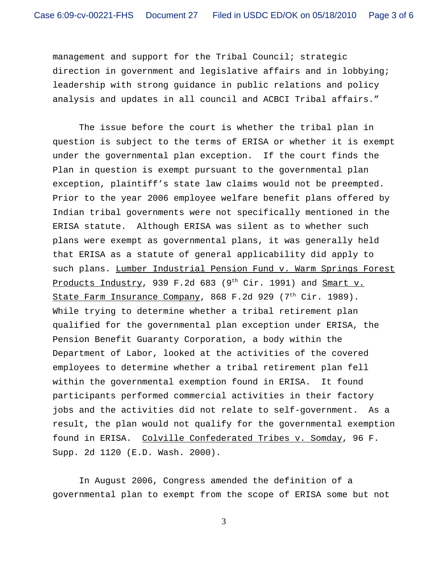management and support for the Tribal Council; strategic direction in government and legislative affairs and in lobbying; leadership with strong guidance in public relations and policy analysis and updates in all council and ACBCI Tribal affairs."

The issue before the court is whether the tribal plan in question is subject to the terms of ERISA or whether it is exempt under the governmental plan exception. If the court finds the Plan in question is exempt pursuant to the governmental plan exception, plaintiff's state law claims would not be preempted. Prior to the year 2006 employee welfare benefit plans offered by Indian tribal governments were not specifically mentioned in the ERISA statute. Although ERISA was silent as to whether such plans were exempt as governmental plans, it was generally held that ERISA as a statute of general applicability did apply to such plans. Lumber Industrial Pension Fund v. Warm Springs Forest Products Industry, 939 F.2d 683 (9<sup>th</sup> Cir. 1991) and Smart v. State Farm Insurance Company, 868 F.2d 929 (7<sup>th</sup> Cir. 1989). While trying to determine whether a tribal retirement plan qualified for the governmental plan exception under ERISA, the Pension Benefit Guaranty Corporation, a body within the Department of Labor, looked at the activities of the covered employees to determine whether a tribal retirement plan fell within the governmental exemption found in ERISA. It found participants performed commercial activities in their factory jobs and the activities did not relate to self-government. As a result, the plan would not qualify for the governmental exemption found in ERISA. Colville Confederated Tribes v. Somday, 96 F. Supp. 2d 1120 (E.D. Wash. 2000).

In August 2006, Congress amended the definition of a governmental plan to exempt from the scope of ERISA some but not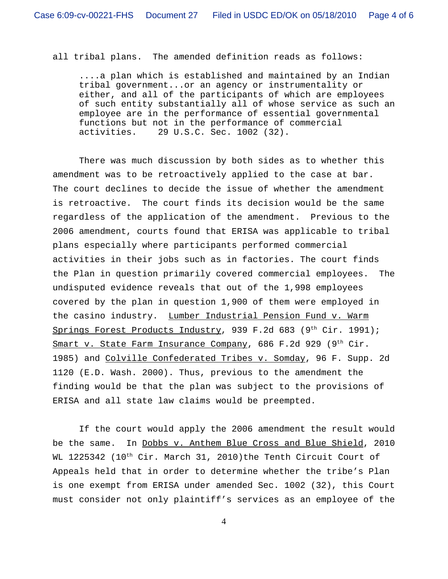all tribal plans. The amended definition reads as follows:

....a plan which is established and maintained by an Indian tribal government...or an agency or instrumentality or either, and all of the participants of which are employees of such entity substantially all of whose service as such an employee are in the performance of essential governmental functions but not in the performance of commercial activities. 29 U.S.C. Sec. 1002 (32).

There was much discussion by both sides as to whether this amendment was to be retroactively applied to the case at bar. The court declines to decide the issue of whether the amendment is retroactive. The court finds its decision would be the same regardless of the application of the amendment. Previous to the 2006 amendment, courts found that ERISA was applicable to tribal plans especially where participants performed commercial activities in their jobs such as in factories. The court finds the Plan in question primarily covered commercial employees. The undisputed evidence reveals that out of the 1,998 employees covered by the plan in question 1,900 of them were employed in the casino industry. Lumber Industrial Pension Fund v. Warm Springs Forest Products Industry, 939 F.2d 683 (9<sup>th</sup> Cir. 1991); Smart v. State Farm Insurance Company, 686 F.2d 929 (9<sup>th</sup> Cir. 1985) and Colville Confederated Tribes v. Somday, 96 F. Supp. 2d 1120 (E.D. Wash. 2000). Thus, previous to the amendment the finding would be that the plan was subject to the provisions of ERISA and all state law claims would be preempted.

If the court would apply the 2006 amendment the result would be the same. In Dobbs v. Anthem Blue Cross and Blue Shield, 2010 WL 1225342 (10<sup>th</sup> Cir. March 31, 2010)the Tenth Circuit Court of Appeals held that in order to determine whether the tribe's Plan is one exempt from ERISA under amended Sec. 1002 (32), this Court must consider not only plaintiff's services as an employee of the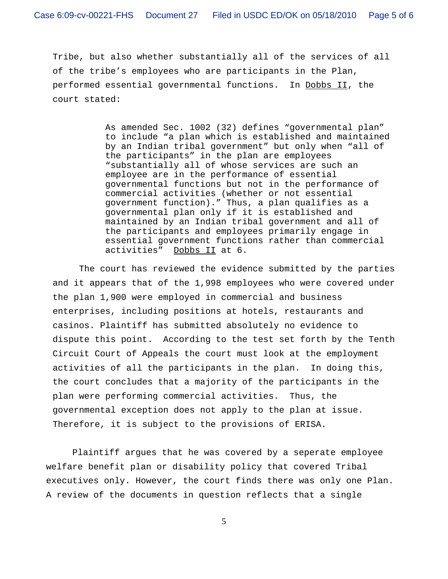Tribe, but also whether substantially all of the services of all of the tribe's employees who are participants in the Plan, performed essential governmental functions. In Dobbs II, the court stated:

> As amended Sec. 1002 (32) defines "governmental plan" to include "a plan which is established and maintained by an Indian tribal government" but only when "all of the participants" in the plan are employees "substantially all of whose services are such an employee are in the performance of essential governmental functions but not in the performance of commercial activities (whether or not essential government function)." Thus, a plan qualifies as a governmental plan only if it is established and maintained by an Indian tribal government and all of the participants and employees primarily engage in essential government functions rather than commercial activities" Dobbs II at 6.

The court has reviewed the evidence submitted by the parties and it appears that of the 1,998 employees who were covered under the plan 1,900 were employed in commercial and business enterprises, including positions at hotels, restaurants and casinos. Plaintiff has submitted absolutely no evidence to dispute this point. According to the test set forth by the Tenth Circuit Court of Appeals the court must look at the employment activities of all the participants in the plan. In doing this, the court concludes that a majority of the participants in the plan were performing commercial activities. Thus, the governmental exception does not apply to the plan at issue. Therefore, it is subject to the provisions of ERISA.

Plaintiff argues that he was covered by a seperate employee welfare benefit plan or disability policy that covered Tribal executives only. However, the court finds there was only one Plan. A review of the documents in question reflects that a single